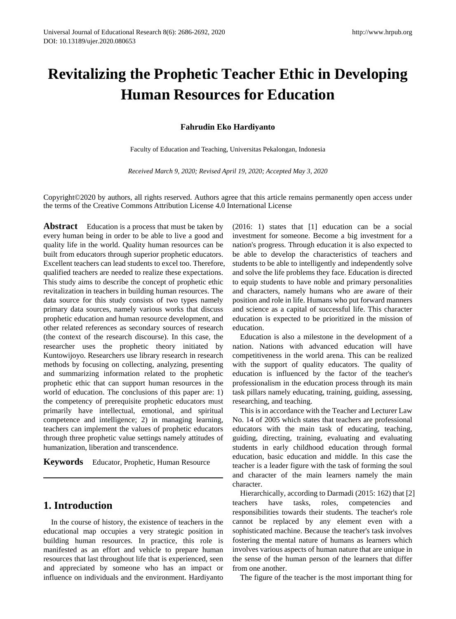# **Revitalizing the Prophetic Teacher Ethic in Developing Human Resources for Education**

**Fahrudin Eko Hardiyanto**

Faculty of Education and Teaching, Universitas Pekalongan, Indonesia

*Received March 9, 2020; Revised April 19, 2020; Accepted May 3, 2020*

Copyright©2020 by authors, all rights reserved. Authors agree that this article remains permanently open access under the terms of the Creative Commons Attribution License 4.0 International License

**Abstract** Education is a process that must be taken by every human being in order to be able to live a good and quality life in the world. Quality human resources can be built from educators through superior prophetic educators. Excellent teachers can lead students to excel too. Therefore, qualified teachers are needed to realize these expectations. This study aims to describe the concept of prophetic ethic revitalization in teachers in building human resources. The data source for this study consists of two types namely primary data sources, namely various works that discuss prophetic education and human resource development, and other related references as secondary sources of research (the context of the research discourse). In this case, the researcher uses the prophetic theory initiated by Kuntowijoyo. Researchers use library research in research methods by focusing on collecting, analyzing, presenting and summarizing information related to the prophetic prophetic ethic that can support human resources in the world of education. The conclusions of this paper are: 1) the competency of prerequisite prophetic educators must primarily have intellectual, emotional, and spiritual competence and intelligence; 2) in managing learning, teachers can implement the values of prophetic educators through three prophetic value settings namely attitudes of humanization, liberation and transcendence.

**Keywords** Educator, Prophetic, Human Resource

#### **1. Introduction**

In the course of history, the existence of teachers in the educational map occupies a very strategic position in building human resources. In practice, this role is manifested as an effort and vehicle to prepare human resources that last throughout life that is experienced, seen and appreciated by someone who has an impact or influence on individuals and the environment. Hardiyanto

(2016: 1) states that [1] education can be a social investment for someone. Become a big investment for a nation's progress. Through education it is also expected to be able to develop the characteristics of teachers and students to be able to intelligently and independently solve and solve the life problems they face. Education is directed to equip students to have noble and primary personalities and characters, namely humans who are aware of their position and role in life. Humans who put forward manners and science as a capital of successful life. This character education is expected to be prioritized in the mission of education.

Education is also a milestone in the development of a nation. Nations with advanced education will have competitiveness in the world arena. This can be realized with the support of quality educators. The quality of education is influenced by the factor of the teacher's professionalism in the education process through its main task pillars namely educating, training, guiding, assessing, researching, and teaching.

This is in accordance with the Teacher and Lecturer Law No. 14 of 2005 which states that teachers are professional educators with the main task of educating, teaching, guiding, directing, training, evaluating and evaluating students in early childhood education through formal education, basic education and middle. In this case the teacher is a leader figure with the task of forming the soul and character of the main learners namely the main character.

Hierarchically, according to Darmadi (2015: 162) that [2] teachers have tasks, roles, competencies and responsibilities towards their students. The teacher's role cannot be replaced by any element even with a sophisticated machine. Because the teacher's task involves fostering the mental nature of humans as learners which involves various aspects of human nature that are unique in the sense of the human person of the learners that differ from one another.

The figure of the teacher is the most important thing for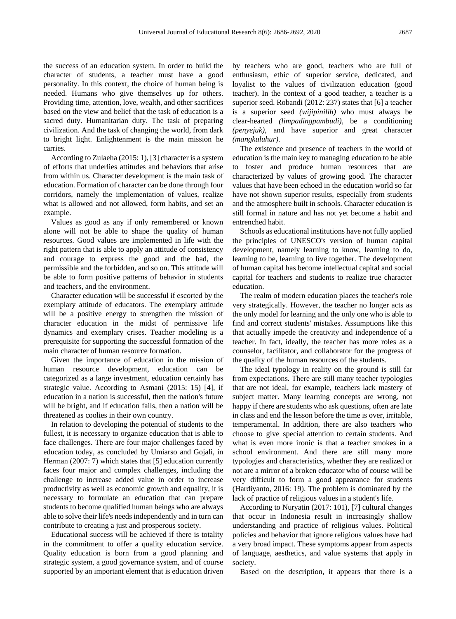the success of an education system. In order to build the character of students, a teacher must have a good personality. In this context, the choice of human being is needed. Humans who give themselves up for others. Providing time, attention, love, wealth, and other sacrifices based on the view and belief that the task of education is a sacred duty. Humanitarian duty. The task of preparing civilization. And the task of changing the world, from dark to bright light. Enlightenment is the main mission he carries.

According to Zulaeha (2015: 1), [3] character is a system of efforts that underlies attitudes and behaviors that arise from within us. Character development is the main task of education. Formation of character can be done through four corridors, namely the implementation of values, realize what is allowed and not allowed, form habits, and set an example.

Values as good as any if only remembered or known alone will not be able to shape the quality of human resources. Good values are implemented in life with the right pattern that is able to apply an attitude of consistency and courage to express the good and the bad, the permissible and the forbidden, and so on. This attitude will be able to form positive patterns of behavior in students and teachers, and the environment.

Character education will be successful if escorted by the exemplary attitude of educators. The exemplary attitude will be a positive energy to strengthen the mission of character education in the midst of permissive life dynamics and exemplary crises. Teacher modeling is a prerequisite for supporting the successful formation of the main character of human resource formation.

Given the importance of education in the mission of human resource development, education can be categorized as a large investment, education certainly has strategic value. According to Asmani (2015: 15) [4], if education in a nation is successful, then the nation's future will be bright, and if education fails, then a nation will be threatened as coolies in their own country.

In relation to developing the potential of students to the fullest, it is necessary to organize education that is able to face challenges. There are four major challenges faced by education today, as concluded by Umiarso and Gojali, in Herman (2007: 7) which states that [5] education currently faces four major and complex challenges, including the challenge to increase added value in order to increase productivity as well as economic growth and equality, it is necessary to formulate an education that can prepare students to become qualified human beings who are always able to solve their life's needs independently and in turn can contribute to creating a just and prosperous society.

Educational success will be achieved if there is totality in the commitment to offer a quality education service. Quality education is born from a good planning and strategic system, a good governance system, and of course supported by an important element that is education driven

by teachers who are good, teachers who are full of enthusiasm, ethic of superior service, dedicated, and loyalist to the values of civilization education (good teacher). In the context of a good teacher, a teacher is a superior seed. Robandi (2012: 237) states that [6] a teacher is a superior seed *(wijipinilih)* who must always be clear-hearted *(limpadingpambudi)*, be a conditioning *(penyejuk)*, and have superior and great character *(mangkuluhur)*.

The existence and presence of teachers in the world of education is the main key to managing education to be able to foster and produce human resources that are characterized by values of growing good. The character values that have been echoed in the education world so far have not shown superior results, especially from students and the atmosphere built in schools. Character education is still formal in nature and has not yet become a habit and entrenched habit.

Schools as educational institutions have not fully applied the principles of UNESCO's version of human capital development, namely learning to know, learning to do, learning to be, learning to live together. The development of human capital has become intellectual capital and social capital for teachers and students to realize true character education.

The realm of modern education places the teacher's role very strategically. However, the teacher no longer acts as the only model for learning and the only one who is able to find and correct students' mistakes. Assumptions like this that actually impede the creativity and independence of a teacher. In fact, ideally, the teacher has more roles as a counselor, facilitator, and collaborator for the progress of the quality of the human resources of the students.

The ideal typology in reality on the ground is still far from expectations. There are still many teacher typologies that are not ideal, for example, teachers lack mastery of subject matter. Many learning concepts are wrong, not happy if there are students who ask questions, often are late in class and end the lesson before the time is over, irritable, temperamental. In addition, there are also teachers who choose to give special attention to certain students. And what is even more ironic is that a teacher smokes in a school environment. And there are still many more typologies and characteristics, whether they are realized or not are a mirror of a broken educator who of course will be very difficult to form a good appearance for students (Hardiyanto, 2016: 19). The problem is dominated by the lack of practice of religious values in a student's life.

According to Nuryatin (2017: 101), [7] cultural changes that occur in Indonesia result in increasingly shallow understanding and practice of religious values. Political policies and behavior that ignore religious values have had a very broad impact. These symptoms appear from aspects of language, aesthetics, and value systems that apply in society.

Based on the description, it appears that there is a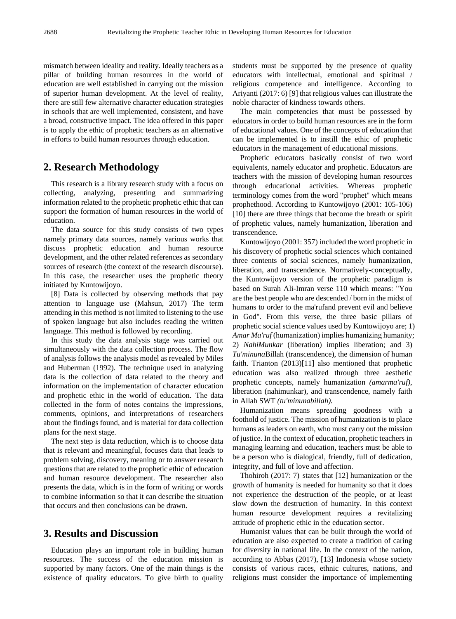mismatch between ideality and reality. Ideally teachers as a pillar of building human resources in the world of education are well established in carrying out the mission of superior human development. At the level of reality, there are still few alternative character education strategies in schools that are well implemented, consistent, and have a broad, constructive impact. The idea offered in this paper is to apply the ethic of prophetic teachers as an alternative in efforts to build human resources through education.

## **2. Research Methodology**

This research is a library research study with a focus on collecting, analyzing, presenting and summarizing information related to the prophetic prophetic ethic that can support the formation of human resources in the world of education.

The data source for this study consists of two types namely primary data sources, namely various works that discuss prophetic education and human resource development, and the other related references as secondary sources of research (the context of the research discourse). In this case, the researcher uses the prophetic theory initiated by Kuntowijoyo.

[8] Data is collected by observing methods that pay attention to language use (Mahsun, 2017) The term attending in this method is not limited to listening to the use of spoken language but also includes reading the written language. This method is followed by recording.

In this study the data analysis stage was carried out simultaneously with the data collection process. The flow of analysis follows the analysis model as revealed by Miles and Huberman (1992). The technique used in analyzing data is the collection of data related to the theory and information on the implementation of character education and prophetic ethic in the world of education. The data collected in the form of notes contains the impressions, comments, opinions, and interpretations of researchers about the findings found, and is material for data collection plans for the next stage.

The next step is data reduction, which is to choose data that is relevant and meaningful, focuses data that leads to problem solving, discovery, meaning or to answer research questions that are related to the prophetic ethic of education and human resource development. The researcher also presents the data, which is in the form of writing or words to combine information so that it can describe the situation that occurs and then conclusions can be drawn.

## **3. Results and Discussion**

Education plays an important role in building human resources. The success of the education mission is supported by many factors. One of the main things is the existence of quality educators. To give birth to quality

students must be supported by the presence of quality educators with intellectual, emotional and spiritual / religious competence and intelligence. According to Ariyanti (2017: 6) [9] that religious values can illustrate the noble character of kindness towards others.

The main competencies that must be possessed by educators in order to build human resources are in the form of educational values. One of the concepts of education that can be implemented is to instill the ethic of prophetic educators in the management of educational missions.

Prophetic educators basically consist of two word equivalents, namely educator and prophetic. Educators are teachers with the mission of developing human resources through educational activities. Whereas prophetic terminology comes from the word "prophet" which means prophethood. According to Kuntowijoyo (2001: 105-106) [10] there are three things that become the breath or spirit of prophetic values, namely humanization, liberation and transcendence.

Kuntowijoyo (2001: 357) included the word prophetic in his discovery of prophetic social sciences which contained three contents of social sciences, namely humanization, liberation, and transcendence. Normatively-conceptually, the Kuntowijoyo version of the prophetic paradigm is based on Surah Ali-Imran verse 110 which means: "You are the best people who are descended / born in the midst of humans to order to the ma'rufand prevent evil and believe in God". From this verse, the three basic pillars of prophetic social science values used by Kuntowijoyo are; 1) *Amar Ma'ruf* (humanization) implies humanizing humanity; 2) *NahiMunkar* (liberation) implies liberation; and 3) *Tu'minuna*Billah (transcendence), the dimension of human faith. Trianton (2013)[11] also mentioned that prophetic education was also realized through three aesthetic prophetic concepts, namely humanization *(amarma'ruf)*, liberation (nahimunkar), and transcendence, namely faith in Allah SWT *(tu'minunabillah).*

Humanization means spreading goodness with a foothold of justice. The mission of humanization is to place humans as leaders on earth, who must carry out the mission of justice. In the context of education, prophetic teachers in managing learning and education, teachers must be able to be a person who is dialogical, friendly, full of dedication, integrity, and full of love and affection.

Thohiroh (2017: 7) states that [12] humanization or the growth of humanity is needed for humanity so that it does not experience the destruction of the people, or at least slow down the destruction of humanity. In this context human resource development requires a revitalizing attitude of prophetic ethic in the education sector.

Humanist values that can be built through the world of education are also expected to create a tradition of caring for diversity in national life. In the context of the nation, according to Abbas (2017), [13] Indonesia whose society consists of various races, ethnic cultures, nations, and religions must consider the importance of implementing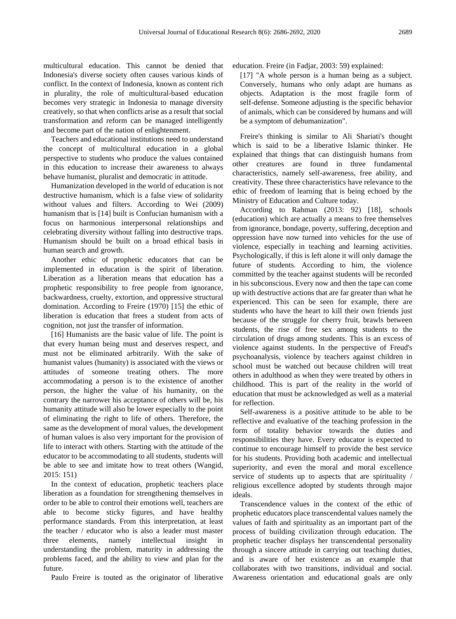multicultural education. This cannot be denied that Indonesia's diverse society often causes various kinds of conflict. In the context of Indonesia, known as content rich in plurality, the role of multicultural-based education becomes very strategic in Indonesia to manage diversity creatively, so that when conflicts arise as a result that social transformation and reform can be managed intelligently and become part of the nation of enlightenment.

Teachers and educational institutions need to understand the concept of multicultural education in a global perspective to students who produce the values contained in this education to increase their awareness to always behave humanist, pluralist and democratic in attitude.

Humanization developed in the world of education is not destructive humanism, which is a false view of solidarity without values and filters. According to Wei (2009) humanism that is [14] built is Confucian humanism with a focus on harmonious interpersonal relationships and celebrating diversity without falling into destructive traps. Humanism should be built on a broad ethical basis in human search and growth.

Another ethic of prophetic educators that can be implemented in education is the spirit of liberation. Liberation as a liberation means that education has a prophetic responsibility to free people from ignorance, backwardness, cruelty, extortion, and oppressive structural domination. According to Freire (1970) [15] the ethic of liberation is education that frees a student from acts of cognition, not just the transfer of information.

[16] Humanists are the basic value of life. The point is that every human being must and deserves respect, and must not be eliminated arbitrarily. With the sake of humanist values (humanity) is associated with the views or attitudes of someone treating others. The more accommodating a person is to the existence of another person, the higher the value of his humanity, on the contrary the narrower his acceptance of others will be, his humanity attitude will also be lower especially to the point of eliminating the right to life of others. Therefore, the same as the development of moral values, the development of human values is also very important for the provision of life to interact with others. Starting with the attitude of the educator to be accommodating to all students, students will be able to see and imitate how to treat others (Wangid, 2015: 151)

In the context of education, prophetic teachers place liberation as a foundation for strengthening themselves in order to be able to control their emotions well, teachers are able to become sticky figures, and have healthy performance standards. From this interpretation, at least the teacher / educator who is also a leader must master three elements, namely intellectual insight in understanding the problem, maturity in addressing the problems faced, and the ability to view and plan for the future.

Paulo Freire is touted as the originator of liberative

education. Freire (in Fadjar, 2003: 59) explained:

[17] "A whole person is a human being as a subject. Conversely, humans who only adapt are humans as objects. Adaptation is the most fragile form of self-defense. Someone adjusting is the specific behavior of animals, which can be considered by humans and will be a symptom of dehumanization".

Freire's thinking is similar to Ali Shariati's thought which is said to be a liberative Islamic thinker. He explained that things that can distinguish humans from other creatures are found in three fundamental characteristics, namely self-awareness, free ability, and creativity. These three characteristics have relevance to the ethic of freedom of learning that is being echoed by the Ministry of Education and Culture today.

According to Rahman (2013: 92) [18], schools (education) which are actually a means to free themselves from ignorance, bondage, poverty, suffering, deception and oppression have now turned into vehicles for the use of violence, especially in teaching and learning activities. Psychologically, if this is left alone it will only damage the future of students. According to him, the violence committed by the teacher against students will be recorded in his subconscious. Every now and then the tape can come up with destructive actions that are far greater than what he experienced. This can be seen for example, there are students who have the heart to kill their own friends just because of the struggle for cherry fruit, brawls between students, the rise of free sex among students to the circulation of drugs among students. This is an excess of violence against students. In the perspective of Freud's psychoanalysis, violence by teachers against children in school must be watched out because children will treat others in adulthood as when they were treated by others in childhood. This is part of the reality in the world of education that must be acknowledged as well as a material for reflection.

Self-awareness is a positive attitude to be able to be reflective and evaluative of the teaching profession in the form of totality behavior towards the duties and responsibilities they have. Every educator is expected to continue to encourage himself to provide the best service for his students. Providing both academic and intellectual superiority, and even the moral and moral excellence service of students up to aspects that are spirituality / religious excellence adopted by students through major ideals.

Transcendence values in the context of the ethic of prophetic educators place transcendental values namely the values of faith and spirituality as an important part of the process of building civilization through education. The prophetic teacher displays her transcendental personality through a sincere attitude in carrying out teaching duties, and is aware of her existence as an example that collaborates with two transitions, individual and social. Awareness orientation and educational goals are only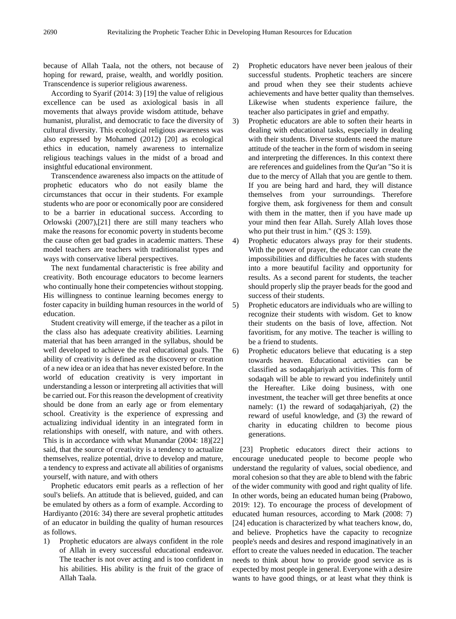because of Allah Taala, not the others, not because of hoping for reward, praise, wealth, and worldly position. Transcendence is superior religious awareness.

According to Syarif (2014: 3) [19] the value of religious excellence can be used as axiological basis in all movements that always provide wisdom attitude, behave humanist, pluralist, and democratic to face the diversity of cultural diversity. This ecological religious awareness was also expressed by Mohamed (2012) [20] as ecological ethics in education, namely awareness to internalize religious teachings values in the midst of a broad and insightful educational environment.

Transcendence awareness also impacts on the attitude of prophetic educators who do not easily blame the circumstances that occur in their students. For example students who are poor or economically poor are considered to be a barrier in educational success. According to Orlowski (2007),[21] there are still many teachers who make the reasons for economic poverty in students become the cause often get bad grades in academic matters. These model teachers are teachers with traditionalist types and ways with conservative liberal perspectives.

The next fundamental characteristic is free ability and creativity. Both encourage educators to become learners who continually hone their competencies without stopping. His willingness to continue learning becomes energy to foster capacity in building human resources in the world of education.

Student creativity will emerge, if the teacher as a pilot in the class also has adequate creativity abilities. Learning material that has been arranged in the syllabus, should be well developed to achieve the real educational goals. The ability of creativity is defined as the discovery or creation of a new idea or an idea that has never existed before. In the world of education creativity is very important in understanding a lesson or interpreting all activities that will be carried out. For this reason the development of creativity should be done from an early age or from elementary school. Creativity is the experience of expressing and actualizing individual identity in an integrated form in relationships with oneself, with nature, and with others. This is in accordance with what Munandar (2004: 18)[22] said, that the source of creativity is a tendency to actualize themselves, realize potential, drive to develop and mature, a tendency to express and activate all abilities of organisms yourself, with nature, and with others

Prophetic educators emit pearls as a reflection of her soul's beliefs. An attitude that is believed, guided, and can be emulated by others as a form of example. According to Hardiyanto (2016: 34) there are several prophetic attitudes of an educator in building the quality of human resources as follows.

1) Prophetic educators are always confident in the role of Allah in every successful educational endeavor. The teacher is not over acting and is too confident in his abilities. His ability is the fruit of the grace of Allah Taala.

- 2) Prophetic educators have never been jealous of their successful students. Prophetic teachers are sincere and proud when they see their students achieve achievements and have better quality than themselves. Likewise when students experience failure, the teacher also participates in grief and empathy.
- 3) Prophetic educators are able to soften their hearts in dealing with educational tasks, especially in dealing with their students. Diverse students need the mature attitude of the teacher in the form of wisdom in seeing and interpreting the differences. In this context there are references and guidelines from the Qur'an "So it is due to the mercy of Allah that you are gentle to them. If you are being hard and hard, they will distance themselves from your surroundings. Therefore forgive them, ask forgiveness for them and consult with them in the matter, then if you have made up your mind then fear Allah. Surely Allah loves those who put their trust in him." (QS 3: 159).
- 4) Prophetic educators always pray for their students. With the power of prayer, the educator can create the impossibilities and difficulties he faces with students into a more beautiful facility and opportunity for results. As a second parent for students, the teacher should properly slip the prayer beads for the good and success of their students.
- 5) Prophetic educators are individuals who are willing to recognize their students with wisdom. Get to know their students on the basis of love, affection. Not favoritism, for any motive. The teacher is willing to be a friend to students.
- 6) Prophetic educators believe that educating is a step towards heaven. Educational activities can be classified as sodaqahjariyah activities. This form of sodaqah will be able to reward you indefinitely until the Hereafter. Like doing business, with one investment, the teacher will get three benefits at once namely: (1) the reward of sodaqahjariyah, (2) the reward of useful knowledge, and (3) the reward of charity in educating children to become pious generations.

[23] Prophetic educators direct their actions to encourage uneducated people to become people who understand the regularity of values, social obedience, and moral cohesion so that they are able to blend with the fabric of the wider community with good and right quality of life. In other words, being an educated human being (Prabowo, 2019: 12). To encourage the process of development of educated human resources, according to Mark (2008: 7) [24] education is characterized by what teachers know, do, and believe. Prophetics have the capacity to recognize people's needs and desires and respond imaginatively in an effort to create the values needed in education. The teacher needs to think about how to provide good service as is expected by most people in general. Everyone with a desire wants to have good things, or at least what they think is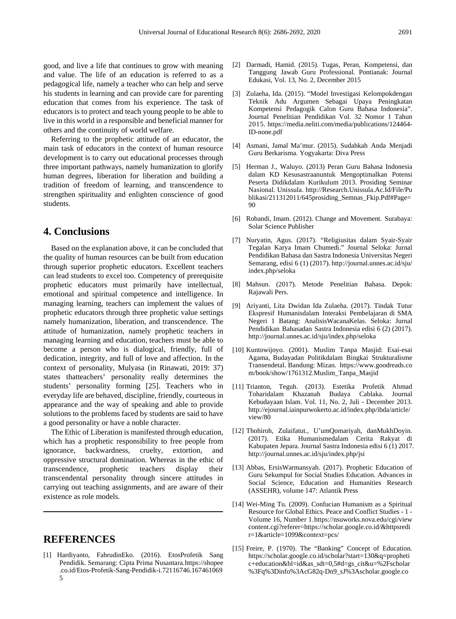good, and live a life that continues to grow with meaning and value. The life of an education is referred to as a pedagogical life, namely a teacher who can help and serve his students in learning and can provide care for parenting education that comes from his experience. The task of educators is to protect and teach young people to be able to live in this world in a responsible and beneficial manner for others and the continuity of world welfare.

Referring to the prophetic attitude of an educator, the main task of educators in the context of human resource development is to carry out educational processes through three important pathways, namely humanization to glorify human degrees, liberation for liberation and building a tradition of freedom of learning, and transcendence to strengthen spirituality and enlighten conscience of good students.

## **4. Conclusions**

Based on the explanation above, it can be concluded that the quality of human resources can be built from education through superior prophetic educators. Excellent teachers can lead students to excel too. Competency of prerequisite prophetic educators must primarily have intellectual, emotional and spiritual competence and intelligence. In managing learning, teachers can implement the values of prophetic educators through three prophetic value settings namely humanization, liberation, and transcendence. The attitude of humanization, namely prophetic teachers in managing learning and education, teachers must be able to become a person who is dialogical, friendly, full of dedication, integrity, and full of love and affection. In the context of personality, Mulyasa (in Rinawati, 2019: 37) states thatteachers' personality really determines the students' personality forming [25]. Teachers who in everyday life are behaved, discipline, friendly, courteous in appearance and the way of speaking and able to provide solutions to the problems faced by students are said to have a good personality or have a noble character.

The Ethic of Liberation is manifested through education, which has a prophetic responsibility to free people from ignorance, backwardness, cruelty, extortion, and oppressive structural domination. Whereas in the ethic of transcendence, prophetic teachers display their transcendental personality through sincere attitudes in carrying out teaching assignments, and are aware of their existence as role models.

## **REFERENCES**

[1] Hardiyanto, FahrudinEko. (2016). EtosProfetik Sang Pendidik. Semarang: Cipta Prima Nusantara[.https://shopee](https://shopee.co.id/Etos-Profetik-Sang-Pendidik-i.72116746.1674610695) [.co.id/Etos-Profetik-Sang-Pendidik-i.72116746.167461069](https://shopee.co.id/Etos-Profetik-Sang-Pendidik-i.72116746.1674610695) [5](https://shopee.co.id/Etos-Profetik-Sang-Pendidik-i.72116746.1674610695)

- [2] Darmadi, Hamid. (2015). Tugas, Peran, Kompetensi, dan Tanggung Jawab Guru Professional. Pontianak: Journal Edukasi, Vol. 13, No. 2, December 2015
- [3] Zulaeha, Ida. (2015). "Model Investigasi Kelompokdengan Teknik Adu Argumen Sebagai Upaya Peningkatan Kompetensi Pedagogik Calon Guru Bahasa Indonesia". Journal Penelitian Pendidikan Vol. 32 Nomor 1 Tahun 2015[.](https://media.neliti.com/media/publications/124464-ID-none.pdf) [https://media.neliti.com/media/publications/124464-](https://media.neliti.com/media/publications/124464-ID-none.pdf) [ID-none.pdf](https://media.neliti.com/media/publications/124464-ID-none.pdf)
- [4] Asmani, Jamal Ma'mur. (2015). Sudahkah Anda Menjadi Guru Berkarisma. Yogyakarta: Diva Press
- [5] Herman J., Waluyo. (2013) Peran Guru Bahasa Indonesia dalam KD Kesusastraanuntuk Mengoptimalkan Potensi Peserta Didikdalam Kurikulum 2013. Prosiding Seminar Nasional. Unissula[.](http://research.unissula.ac.id/File/Publikasi/211312011/645prosiding_Semnas_Fkip.Pdf#Page=90) [http://Research.Unissula.Ac.Id/File/Pu](http://research.unissula.ac.id/File/Publikasi/211312011/645prosiding_Semnas_Fkip.Pdf#Page=90) [blikasi/211312011/645prosiding\\_Semnas\\_Fkip.Pdf#Page=](http://research.unissula.ac.id/File/Publikasi/211312011/645prosiding_Semnas_Fkip.Pdf#Page=90) [90](http://research.unissula.ac.id/File/Publikasi/211312011/645prosiding_Semnas_Fkip.Pdf#Page=90)
- [6] Robandi, Imam. (2012). Change and Movement. Surabaya: Solar Science Publisher
- [7] Nuryatin, Agus. (2017). "Religiusitas dalam Syair-Syair Tegalan Karya Imam Chumedi." Journal Seloka: Jurnal Pendidikan Bahasa dan Sastra Indonesia Universitas Negeri Semarang, edisi 6 (1) (2017). [http://journal.unnes.ac.id/sju/](http://journal.unnes.ac.id/sju/index.php/seloka) [index.php/seloka](http://journal.unnes.ac.id/sju/index.php/seloka)
- [8] Mahsun. (2017). Metode Penelitian Bahasa. Depok: Rajawali Pers.
- [9] Ariyanti, Lita Dwidan Ida Zulaeha. (2017). Tindak Tutur Ekspresif Humanisdalam Interaksi Pembelajaran di SMA Negeri 1 Batang: AnalisisWacanaKelas. Seloka: Jurnal Pendidikan Bahasadan Sastra Indonesia edisi 6 (2) (2017). <http://journal.unnes.ac.id/sju/index.php/seloka>
- [10] Kuntowijoyo. (2001). Muslim Tanpa Masjid: Esai-esai Agama, Budayadan Politikdalam Bingkai Strukturalisme Transendetal. Bandung: Mizan[.](https://www.goodreads.com/book/show/1761312.Muslim_Tanpa_Masjid) [https://www.goodreads.co](https://www.goodreads.com/book/show/1761312.Muslim_Tanpa_Masjid) [m/book/show/1761312.Muslim\\_Tanpa\\_Masjid](https://www.goodreads.com/book/show/1761312.Muslim_Tanpa_Masjid)
- [11] Trianton, Teguh. (2013). Estetika Profetik Ahmad Toharidalam Khazanah Budaya Cablaka. Journal Kebudayaan Islam. Vol. 11, No. 2, Juli - December 2013. [http://ejournal.iainpurwokerto.ac.id/index.php/ibda/article/](http://ejournal.iainpurwokerto.ac.id/index.php/ibda/article/view/80) [view/80](http://ejournal.iainpurwokerto.ac.id/index.php/ibda/article/view/80)
- [12] Thohiroh, Zulaifatut., U'umQomariyah, danMukhDoyin. (2017). Etika Humanismedalam Cerita Rakyat di Kabupaten Jepara. Journal Sastra Indonesia edisi 6 (1) 2017. <http://journal.unnes.ac.id/sju/index.php/jsi>
- [13] Abbas, ErsisWarmansyah. (2017). Prophetic Education of Guru Sekumpul for Social Studies Education. Advances in Social Science, Education and Humanities Research (ASSEHR), volume 147: Atlantik Press
- [14] Wei-Ming Tu. (2009). Confucian Humanism as a Spiritual Resource for Global Ethics. Peace and Conflict Studies - 1 - Volume 16, Number 1[.https://nsuworks.nova.edu/cgi/view](https://nsuworks.nova.edu/cgi/viewcontent.cgi?referer=https://scholar.google.co.id/&httpsredir=1&article=1099&context=pcs/) [content.cgi?referer=https://scholar.google.co.id/&httpsredi](https://nsuworks.nova.edu/cgi/viewcontent.cgi?referer=https://scholar.google.co.id/&httpsredir=1&article=1099&context=pcs/) [r=1&article=1099&context=pcs/](https://nsuworks.nova.edu/cgi/viewcontent.cgi?referer=https://scholar.google.co.id/&httpsredir=1&article=1099&context=pcs/)
- [15] Freire, P. (1970). The "Banking" Concept of Education. [https://scholar.google.co.id/scholar?start=130&q=propheti](https://scholar.google.co.id/scholar?start=130&q=prophetic+education&hl=id&as_sdt=0,5#d=gs_cit&u=%2Fscholar%3Fq%3Dinfo%3AcG82q-Dn9_sJ%3Ascholar.google.com%2F%26output%3Dcite%26scirp%3D136%26hl%3Did) [c+education&hl=id&as\\_sdt=0,5#d=gs\\_cit&u=%2Fscholar](https://scholar.google.co.id/scholar?start=130&q=prophetic+education&hl=id&as_sdt=0,5#d=gs_cit&u=%2Fscholar%3Fq%3Dinfo%3AcG82q-Dn9_sJ%3Ascholar.google.com%2F%26output%3Dcite%26scirp%3D136%26hl%3Did) [%3Fq%3Dinfo%3AcG82q-Dn9\\_sJ%3Ascholar.google.co](https://scholar.google.co.id/scholar?start=130&q=prophetic+education&hl=id&as_sdt=0,5#d=gs_cit&u=%2Fscholar%3Fq%3Dinfo%3AcG82q-Dn9_sJ%3Ascholar.google.com%2F%26output%3Dcite%26scirp%3D136%26hl%3Did)